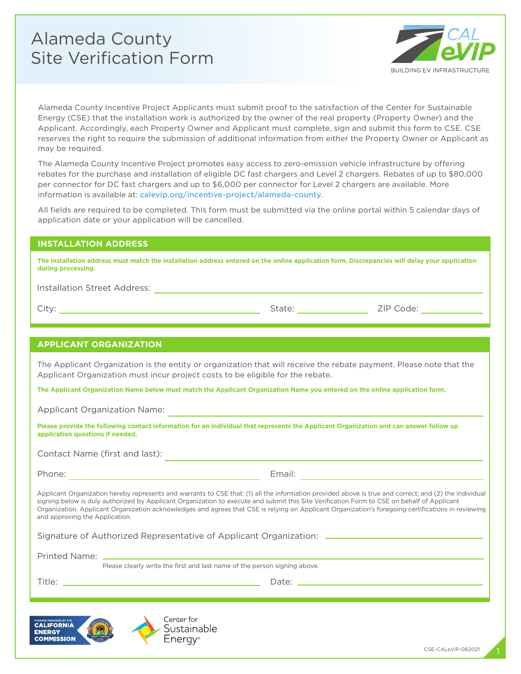# Alameda County Site Verification Form



Alameda County Incentive Project Applicants must submit proof to the satisfaction of the Center for Sustainable Energy (CSE) that the installation work is authorized by the owner of the real property (Property Owner) and the Applicant. Accordingly, each Property Owner and Applicant must complete, sign and submit this form to CSE. CSE reserves the right to require the submission of additional information from either the Property Owner or Applicant as may be required.

The Alameda County Incentive Project promotes easy access to zero-emission vehicle infrastructure by offering rebates for the purchase and installation of eligible DC fast chargers and Level 2 chargers. Rebates of up to \$80,000 per connector for DC fast chargers and up to \$6,000 per connector for Level 2 chargers are available. More information is available at: [calevip.org/incentive-project/alameda-county](https://calevip.org/incentive-project/alameda-county).

All fields are required to be completed. This form must be submitted via the online portal within 5 calendar days of application date or your application will be cancelled.

### **INSTALLATION ADDRESS**

| The installation address must match the installation address entered on the online application form. Discrepancies will delay your application |
|------------------------------------------------------------------------------------------------------------------------------------------------|
| during processing.                                                                                                                             |

Installation Street Address:

City:  $\qquad \qquad$  2IP Code:

#### **APPLICANT ORGANIZATION**

The Applicant Organization is the entity or organization that will receive the rebate payment. Please note that the Applicant Organization must incur project costs to be eligible for the rebate.

**The Applicant Organization Name below must match the Applicant Organization Name you entered on the online application form.**

Applicant Organization Name:

**Please provide the following contact information for an individual that represents the Applicant Organization and can answer follow up application questions if needed.** 

Contact Name (first and last):

Phone: Email: Email: Email: Email: Email: Email: Email: Email: Email: Email: Email: Email: Email: Email: Email: Email: Email: Email: Email: Email: Email: Email: Email: Email: Email: Email: Email: Email: Email: Email: Email

Applicant Organization hereby represents and warrants to CSE that: (1) all the information provided above is true and correct; and (2) the individual signing below is duly authorized by Applicant Organization to execute and submit this Site Verification Form to CSE on behalf of Applicant Organization. Applicant Organization acknowledges and agrees that CSE is relying on Applicant Organization's foregoing certifications in reviewing and approving the Application.

Signature of Authorized Representative of Applicant Organization:

Printed Name:

Please clearly write the first and last name of the person signing above.

Title: Date: